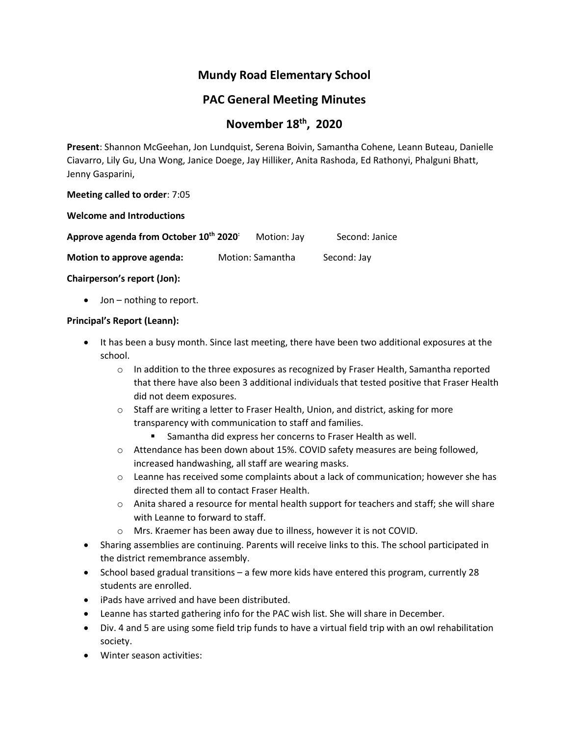# **Mundy Road Elementary School**

# **PAC General Meeting Minutes**

# **November 18th , 2020**

**Present**: Shannon McGeehan, Jon Lundquist, Serena Boivin, Samantha Cohene, Leann Buteau, Danielle Ciavarro, Lily Gu, Una Wong, Janice Doege, Jay Hilliker, Anita Rashoda, Ed Rathonyi, Phalguni Bhatt, Jenny Gasparini,

#### **Meeting called to order**: 7:05

**Welcome and Introductions**

| Approve agenda from October 10th 2020: | Motion: Jay      | Second: Janice |
|----------------------------------------|------------------|----------------|
| Motion to approve agenda:              | Motion: Samantha | Second: Jay    |

**Chairperson's report (Jon):**

• Jon – nothing to report.

#### **Principal's Report (Leann):**

- It has been a busy month. Since last meeting, there have been two additional exposures at the school.
	- $\circ$  In addition to the three exposures as recognized by Fraser Health, Samantha reported that there have also been 3 additional individuals that tested positive that Fraser Health did not deem exposures.
	- $\circ$  Staff are writing a letter to Fraser Health, Union, and district, asking for more transparency with communication to staff and families.
		- Samantha did express her concerns to Fraser Health as well.
	- o Attendance has been down about 15%. COVID safety measures are being followed, increased handwashing, all staff are wearing masks.
	- $\circ$  Leanne has received some complaints about a lack of communication; however she has directed them all to contact Fraser Health.
	- o Anita shared a resource for mental health support for teachers and staff; she will share with Leanne to forward to staff.
	- o Mrs. Kraemer has been away due to illness, however it is not COVID.
- Sharing assemblies are continuing. Parents will receive links to this. The school participated in the district remembrance assembly.
- School based gradual transitions a few more kids have entered this program, currently 28 students are enrolled.
- iPads have arrived and have been distributed.
- Leanne has started gathering info for the PAC wish list. She will share in December.
- Div. 4 and 5 are using some field trip funds to have a virtual field trip with an owl rehabilitation society.
- Winter season activities: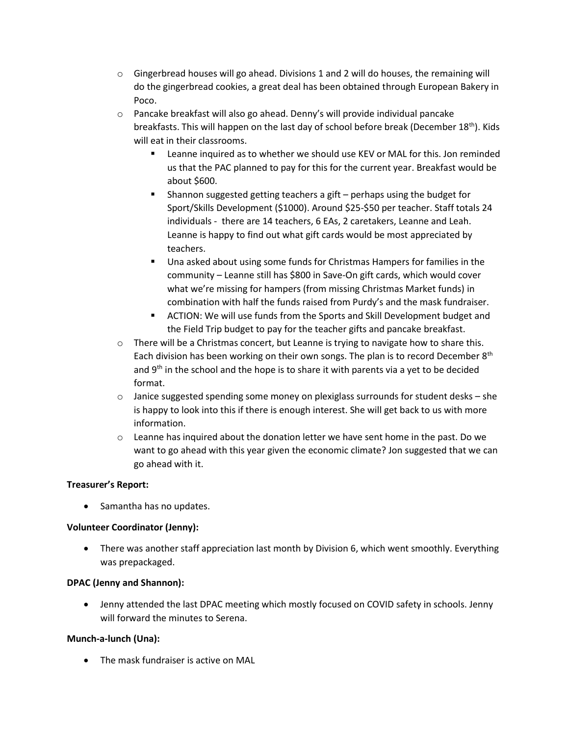- $\circ$  Gingerbread houses will go ahead. Divisions 1 and 2 will do houses, the remaining will do the gingerbread cookies, a great deal has been obtained through European Bakery in Poco.
- $\circ$  Pancake breakfast will also go ahead. Denny's will provide individual pancake breakfasts. This will happen on the last day of school before break (December 18<sup>th</sup>). Kids will eat in their classrooms.
	- **EXECT** Leanne inquired as to whether we should use KEV or MAL for this. Jon reminded us that the PAC planned to pay for this for the current year. Breakfast would be about \$600.
	- Shannon suggested getting teachers a gift  $-$  perhaps using the budget for Sport/Skills Development (\$1000). Around \$25-\$50 per teacher. Staff totals 24 individuals - there are 14 teachers, 6 EAs, 2 caretakers, Leanne and Leah. Leanne is happy to find out what gift cards would be most appreciated by teachers.
	- Una asked about using some funds for Christmas Hampers for families in the community – Leanne still has \$800 in Save-On gift cards, which would cover what we're missing for hampers (from missing Christmas Market funds) in combination with half the funds raised from Purdy's and the mask fundraiser.
	- ACTION: We will use funds from the Sports and Skill Development budget and the Field Trip budget to pay for the teacher gifts and pancake breakfast.
- $\circ$  There will be a Christmas concert, but Leanne is trying to navigate how to share this. Each division has been working on their own songs. The plan is to record December 8<sup>th</sup> and  $9<sup>th</sup>$  in the school and the hope is to share it with parents via a yet to be decided format.
- $\circ$  Janice suggested spending some money on plexiglass surrounds for student desks she is happy to look into this if there is enough interest. She will get back to us with more information.
- $\circ$  Leanne has inquired about the donation letter we have sent home in the past. Do we want to go ahead with this year given the economic climate? Jon suggested that we can go ahead with it.

# **Treasurer's Report:**

• Samantha has no updates.

# **Volunteer Coordinator (Jenny):**

• There was another staff appreciation last month by Division 6, which went smoothly. Everything was prepackaged.

# **DPAC (Jenny and Shannon):**

• Jenny attended the last DPAC meeting which mostly focused on COVID safety in schools. Jenny will forward the minutes to Serena.

# **Munch-a-lunch (Una):**

• The mask fundraiser is active on MAL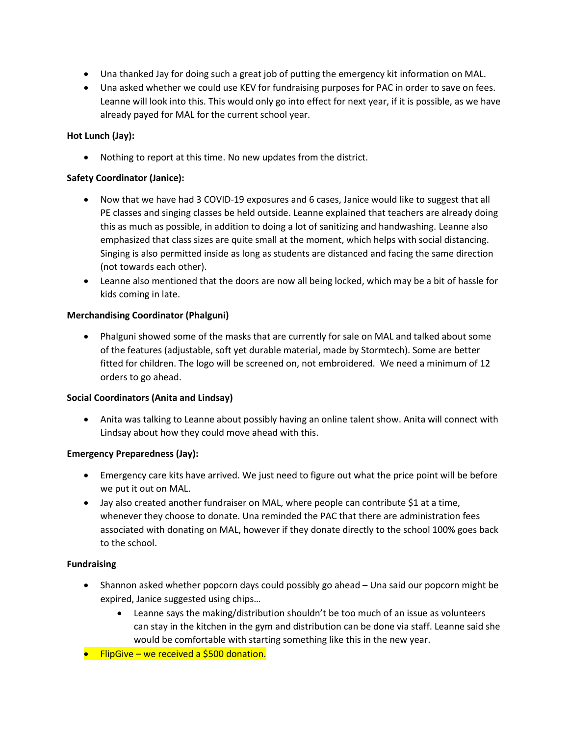- Una thanked Jay for doing such a great job of putting the emergency kit information on MAL.
- Una asked whether we could use KEV for fundraising purposes for PAC in order to save on fees. Leanne will look into this. This would only go into effect for next year, if it is possible, as we have already payed for MAL for the current school year.

# **Hot Lunch (Jay):**

• Nothing to report at this time. No new updates from the district.

#### **Safety Coordinator (Janice):**

- Now that we have had 3 COVID-19 exposures and 6 cases, Janice would like to suggest that all PE classes and singing classes be held outside. Leanne explained that teachers are already doing this as much as possible, in addition to doing a lot of sanitizing and handwashing. Leanne also emphasized that class sizes are quite small at the moment, which helps with social distancing. Singing is also permitted inside as long as students are distanced and facing the same direction (not towards each other).
- Leanne also mentioned that the doors are now all being locked, which may be a bit of hassle for kids coming in late.

#### **Merchandising Coordinator (Phalguni)**

• Phalguni showed some of the masks that are currently for sale on MAL and talked about some of the features (adjustable, soft yet durable material, made by Stormtech). Some are better fitted for children. The logo will be screened on, not embroidered. We need a minimum of 12 orders to go ahead.

#### **Social Coordinators (Anita and Lindsay)**

• Anita was talking to Leanne about possibly having an online talent show. Anita will connect with Lindsay about how they could move ahead with this.

#### **Emergency Preparedness (Jay):**

- Emergency care kits have arrived. We just need to figure out what the price point will be before we put it out on MAL.
- Jay also created another fundraiser on MAL, where people can contribute \$1 at a time, whenever they choose to donate. Una reminded the PAC that there are administration fees associated with donating on MAL, however if they donate directly to the school 100% goes back to the school.

#### **Fundraising**

- Shannon asked whether popcorn days could possibly go ahead Una said our popcorn might be expired, Janice suggested using chips…
	- Leanne says the making/distribution shouldn't be too much of an issue as volunteers can stay in the kitchen in the gym and distribution can be done via staff. Leanne said she would be comfortable with starting something like this in the new year.
- FlipGive we received a \$500 donation.